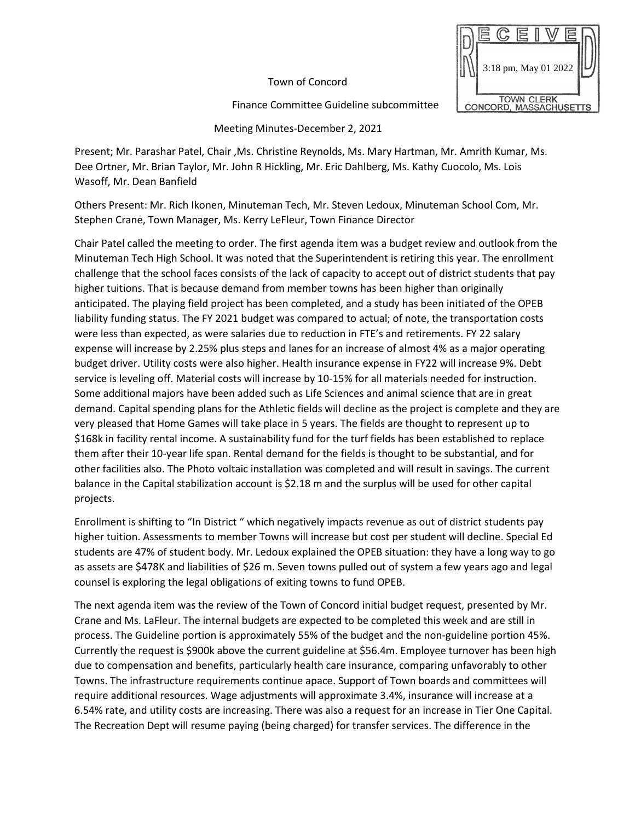Town of Concord

Finance Committee Guideline subcommittee



Meeting Minutes-December 2, 2021

Present; Mr. Parashar Patel, Chair ,Ms. Christine Reynolds, Ms. Mary Hartman, Mr. Amrith Kumar, Ms. Dee Ortner, Mr. Brian Taylor, Mr. John R Hickling, Mr. Eric Dahlberg, Ms. Kathy Cuocolo, Ms. Lois Wasoff, Mr. Dean Banfield

Others Present: Mr. Rich Ikonen, Minuteman Tech, Mr. Steven Ledoux, Minuteman School Com, Mr. Stephen Crane, Town Manager, Ms. Kerry LeFleur, Town Finance Director

Chair Patel called the meeting to order. The first agenda item was a budget review and outlook from the Minuteman Tech High School. It was noted that the Superintendent is retiring this year. The enrollment challenge that the school faces consists of the lack of capacity to accept out of district students that pay higher tuitions. That is because demand from member towns has been higher than originally anticipated. The playing field project has been completed, and a study has been initiated of the OPEB liability funding status. The FY 2021 budget was compared to actual; of note, the transportation costs were less than expected, as were salaries due to reduction in FTE's and retirements. FY 22 salary expense will increase by 2.25% plus steps and lanes for an increase of almost 4% as a major operating budget driver. Utility costs were also higher. Health insurance expense in FY22 will increase 9%. Debt service is leveling off. Material costs will increase by 10-15% for all materials needed for instruction. Some additional majors have been added such as Life Sciences and animal science that are in great demand. Capital spending plans for the Athletic fields will decline as the project is complete and they are very pleased that Home Games will take place in 5 years. The fields are thought to represent up to \$168k in facility rental income. A sustainability fund for the turf fields has been established to replace them after their 10-year life span. Rental demand for the fields is thought to be substantial, and for other facilities also. The Photo voltaic installation was completed and will result in savings. The current balance in the Capital stabilization account is \$2.18 m and the surplus will be used for other capital projects.

Enrollment is shifting to "In District " which negatively impacts revenue as out of district students pay higher tuition. Assessments to member Towns will increase but cost per student will decline. Special Ed students are 47% of student body. Mr. Ledoux explained the OPEB situation: they have a long way to go as assets are \$478K and liabilities of \$26 m. Seven towns pulled out of system a few years ago and legal counsel is exploring the legal obligations of exiting towns to fund OPEB.

The next agenda item was the review of the Town of Concord initial budget request, presented by Mr. Crane and Ms. LaFleur. The internal budgets are expected to be completed this week and are still in process. The Guideline portion is approximately 55% of the budget and the non-guideline portion 45%. Currently the request is \$900k above the current guideline at \$56.4m. Employee turnover has been high due to compensation and benefits, particularly health care insurance, comparing unfavorably to other Towns. The infrastructure requirements continue apace. Support of Town boards and committees will require additional resources. Wage adjustments will approximate 3.4%, insurance will increase at a 6.54% rate, and utility costs are increasing. There was also a request for an increase in Tier One Capital. The Recreation Dept will resume paying (being charged) for transfer services. The difference in the